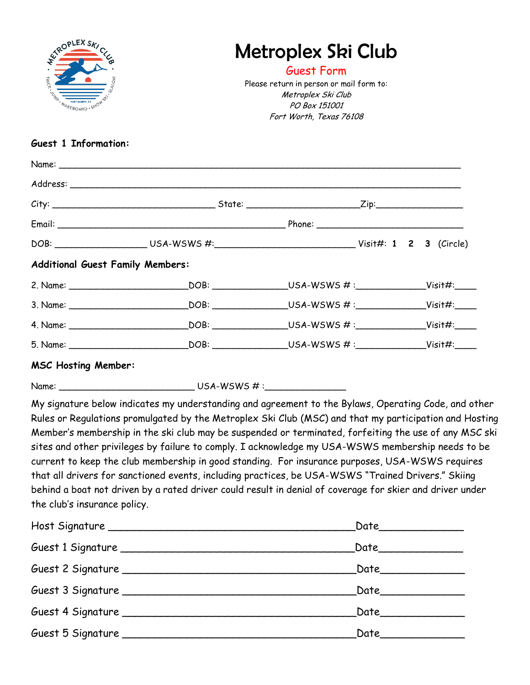| <b>ATROPLEX SKIC</b><br>TRICK.<br>AKEBOARD . SHOW | Metroplex Ski Club<br>Guest Form<br>Please return in person or mail form to:<br>Metroplex Ski Club<br>PO Box 151001<br>Fort Worth, Texas 76108 |  |  |
|---------------------------------------------------|------------------------------------------------------------------------------------------------------------------------------------------------|--|--|
| <b>Guest 1 Information:</b>                       |                                                                                                                                                |  |  |
|                                                   |                                                                                                                                                |  |  |
|                                                   |                                                                                                                                                |  |  |
|                                                   |                                                                                                                                                |  |  |
|                                                   |                                                                                                                                                |  |  |
|                                                   |                                                                                                                                                |  |  |
| <b>Additional Guest Family Members:</b>           |                                                                                                                                                |  |  |
|                                                   |                                                                                                                                                |  |  |
|                                                   |                                                                                                                                                |  |  |
|                                                   |                                                                                                                                                |  |  |
|                                                   |                                                                                                                                                |  |  |
| <b>MSC Hosting Member:</b>                        |                                                                                                                                                |  |  |
|                                                   |                                                                                                                                                |  |  |

My signature below indicates my understanding and agreement to the Bylaws, Operating Code, and other Rules or Regulations promulgated by the Metroplex Ski Club (MSC) and that my participation and Hosting Member's membership in the ski club may be suspended or terminated, forfeiting the use of any MSC ski sites and other privileges by failure to comply. I acknowledge my USA-WSWS membership needs to be current to keep the club membership in good standing. For insurance purposes, USA-WSWS requires that all drivers for sanctioned events, including practices, be USA-WSWS "Trained Drivers." Skiing behind a boat not driven by a rated driver could result in denial of coverage for skier and driver under the club's insurance policy.

|                                   | Date_____________    |
|-----------------------------------|----------------------|
|                                   | Date________________ |
|                                   | Date___________      |
|                                   |                      |
| Guest 5 Signature _______________ | Date_________        |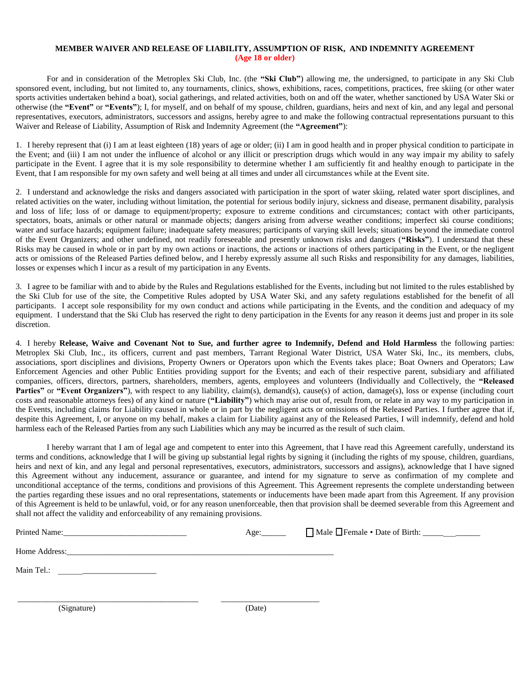#### **MEMBER WAIVER AND RELEASE OF LIABILITY, ASSUMPTION OF RISK, AND INDEMNITY AGREEMENT (Age 18 or older)**

For and in consideration of the Metroplex Ski Club, Inc. (the **"Ski Club"**) allowing me, the undersigned, to participate in any Ski Club sponsored event, including, but not limited to, any tournaments, clinics, shows, exhibitions, races, competitions, practices, free skiing (or other water sports activities undertaken behind a boat), social gatherings, and related activities, both on and off the water, whether sanctioned by USA Water Ski or otherwise (the **"Event"** or **"Events"**); I, for myself, and on behalf of my spouse, children, guardians, heirs and next of kin, and any legal and personal representatives, executors, administrators, successors and assigns, hereby agree to and make the following contractual representations pursuant to this Waiver and Release of Liability, Assumption of Risk and Indemnity Agreement (the **"Agreement"**):

1. I hereby represent that (i) I am at least eighteen (18) years of age or older; (ii) I am in good health and in proper physical condition to participate in the Event; and (iii) I am not under the influence of alcohol or any illicit or prescription drugs which would in any way impair my ability to safely participate in the Event. I agree that it is my sole responsibility to determine whether I am sufficiently fit and healthy enough to participate in the Event, that I am responsible for my own safety and well being at all times and under all circumstances while at the Event site.

2. I understand and acknowledge the risks and dangers associated with participation in the sport of water skiing, related water sport disciplines, and related activities on the water, including without limitation, the potential for serious bodily injury, sickness and disease, permanent disability, paralysis and loss of life; loss of or damage to equipment/property; exposure to extreme conditions and circumstances; contact with other participants, spectators, boats, animals or other natural or manmade objects; dangers arising from adverse weather conditions; imperfect ski course conditions; water and surface hazards; equipment failure; inadequate safety measures; participants of varying skill levels; situations beyond the immediate control of the Event Organizers; and other undefined, not readily foreseeable and presently unknown risks and dangers (**"Risks"**). I understand that these Risks may be caused in whole or in part by my own actions or inactions, the actions or inactions of others participating in the Event, or the negligent acts or omissions of the Released Parties defined below, and I hereby expressly assume all such Risks and responsibility for any damages, liabilities, losses or expenses which I incur as a result of my participation in any Events.

3. I agree to be familiar with and to abide by the Rules and Regulations established for the Events, including but not limited to the rules established by the Ski Club for use of the site, the Competitive Rules adopted by USA Water Ski, and any safety regulations established for the benefit of all participants. I accept sole responsibility for my own conduct and actions while participating in the Events, and the condition and adequacy of my equipment. I understand that the Ski Club has reserved the right to deny participation in the Events for any reason it deems just and proper in its sole discretion.

4. I hereby **Release, Waive and Covenant Not to Sue, and further agree to Indemnify, Defend and Hold Harmless** the following parties: Metroplex Ski Club, Inc., its officers, current and past members, Tarrant Regional Water District, USA Water Ski, Inc., its members, clubs, associations, sport disciplines and divisions, Property Owners or Operators upon which the Events takes place; Boat Owners and Operators; Law Enforcement Agencies and other Public Entities providing support for the Events; and each of their respective parent, subsidiary and affiliated companies, officers, directors, partners, shareholders, members, agents, employees and volunteers (Individually and Collectively, the **"Released** Parties" or "Event Organizers"), with respect to any liability, claim(s), demand(s), cause(s) of action, damage(s), loss or expense (including court costs and reasonable attorneys fees) of any kind or nature (**"Liability"**) which may arise out of, result from, or relate in any way to my participation in the Events, including claims for Liability caused in whole or in part by the negligent acts or omissions of the Released Parties. I further agree that if, despite this Agreement, I, or anyone on my behalf, makes a claim for Liability against any of the Released Parties, I will indemnify, defend and hold harmless each of the Released Parties from any such Liabilities which any may be incurred as the result of such claim.

I hereby warrant that I am of legal age and competent to enter into this Agreement, that I have read this Agreement carefully, understand its terms and conditions, acknowledge that I will be giving up substantial legal rights by signing it (including the rights of my spouse, children, guardians, heirs and next of kin, and any legal and personal representatives, executors, administrators, successors and assigns), acknowledge that I have signed this Agreement without any inducement, assurance or guarantee, and intend for my signature to serve as confirmation of my complete and unconditional acceptance of the terms, conditions and provisions of this Agreement. This Agreement represents the complete understanding between the parties regarding these issues and no oral representations, statements or inducements have been made apart from this Agreement. If any provision of this Agreement is held to be unlawful, void, or for any reason unenforceable, then that provision shall be deemed severable from this Agreement and shall not affect the validity and enforceability of any remaining provisions.

| Printed Name: 1988 and 1988 and 1989 and 1989 and 1989 and 1989 and 1989 and 1989 and 1989 and 1989 and 1989 and 1989 and 1989 and 1989 and 1989 and 1989 and 1989 and 1989 and 1989 and 1989 and 1989 and 1989 and 1989 and 1 |        |  |
|--------------------------------------------------------------------------------------------------------------------------------------------------------------------------------------------------------------------------------|--------|--|
| Home Address:<br><u> 1990 - Jan Barbarat, martin da basar da basar da basa da basa da basa da basa da basa da basa da basa da basa</u>                                                                                         |        |  |
| Main Tel.:<br><u> 1980 - Jan Barbara, martin a shekara 1980 - An tsa a tsa a tsa a tsa a tsa a tsa a tsa a tsa a tsa a tsa a tsa</u>                                                                                           |        |  |
|                                                                                                                                                                                                                                |        |  |
| (Signature)                                                                                                                                                                                                                    | (Date) |  |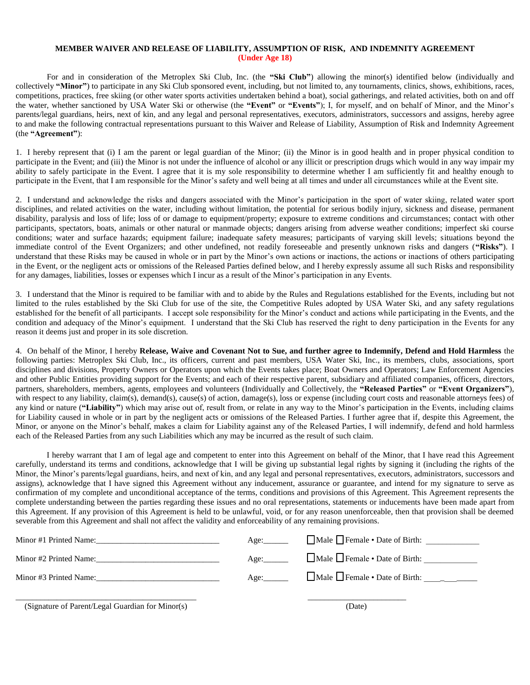#### **MEMBER WAIVER AND RELEASE OF LIABILITY, ASSUMPTION OF RISK, AND INDEMNITY AGREEMENT (Under Age 18)**

For and in consideration of the Metroplex Ski Club, Inc. (the **"Ski Club"**) allowing the minor(s) identified below (individually and collectively **"Minor"**) to participate in any Ski Club sponsored event, including, but not limited to, any tournaments, clinics, shows, exhibitions, races, competitions, practices, free skiing (or other water sports activities undertaken behind a boat), social gatherings, and related activities, both on and off the water, whether sanctioned by USA Water Ski or otherwise (the **"Event"** or **"Events"**); I, for myself, and on behalf of Minor, and the Minor's parents/legal guardians, heirs, next of kin, and any legal and personal representatives, executors, administrators, successors and assigns, hereby agree to and make the following contractual representations pursuant to this Waiver and Release of Liability, Assumption of Risk and Indemnity Agreement (the **"Agreement"**):

1. I hereby represent that (i) I am the parent or legal guardian of the Minor; (ii) the Minor is in good health and in proper physical condition to participate in the Event; and (iii) the Minor is not under the influence of alcohol or any illicit or prescription drugs which would in any way impair my ability to safely participate in the Event. I agree that it is my sole responsibility to determine whether I am sufficiently fit and healthy enough to participate in the Event, that I am responsible for the Minor's safety and well being at all times and under all circumstances while at the Event site.

2. I understand and acknowledge the risks and dangers associated with the Minor's participation in the sport of water skiing, related water sport disciplines, and related activities on the water, including without limitation, the potential for serious bodily injury, sickness and disease, permanent disability, paralysis and loss of life; loss of or damage to equipment/property; exposure to extreme conditions and circumstances; contact with other participants, spectators, boats, animals or other natural or manmade objects; dangers arising from adverse weather conditions; imperfect ski course conditions; water and surface hazards; equipment failure; inadequate safety measures; participants of varying skill levels; situations beyond the immediate control of the Event Organizers; and other undefined, not readily foreseeable and presently unknown risks and dangers (**"Risks"**). I understand that these Risks may be caused in whole or in part by the Minor's own actions or inactions, the actions or inactions of others participating in the Event, or the negligent acts or omissions of the Released Parties defined below, and I hereby expressly assume all such Risks and responsibility for any damages, liabilities, losses or expenses which I incur as a result of the Minor's participation in any Events.

3. I understand that the Minor is required to be familiar with and to abide by the Rules and Regulations established for the Events, including but not limited to the rules established by the Ski Club for use of the site, the Competitive Rules adopted by USA Water Ski, and any safety regulations established for the benefit of all participants. I accept sole responsibility for the Minor's conduct and actions while participating in the Events, and the condition and adequacy of the Minor's equipment. I understand that the Ski Club has reserved the right to deny participation in the Events for any reason it deems just and proper in its sole discretion.

4. On behalf of the Minor, I hereby **Release, Waive and Covenant Not to Sue, and further agree to Indemnify, Defend and Hold Harmless** the following parties: Metroplex Ski Club, Inc., its officers, current and past members, USA Water Ski, Inc., its members, clubs, associations, sport disciplines and divisions, Property Owners or Operators upon which the Events takes place; Boat Owners and Operators; Law Enforcement Agencies and other Public Entities providing support for the Events; and each of their respective parent, subsidiary and affiliated companies, officers, directors, partners, shareholders, members, agents, employees and volunteers (Individually and Collectively, the **"Released Parties"** or **"Event Organizers"**), with respect to any liability, claim(s), demand(s), cause(s) of action, damage(s), loss or expense (including court costs and reasonable attorneys fees) of any kind or nature (**"Liability"**) which may arise out of, result from, or relate in any way to the Minor's participation in the Events, including claims for Liability caused in whole or in part by the negligent acts or omissions of the Released Parties. I further agree that if, despite this Agreement, the Minor, or anyone on the Minor's behalf, makes a claim for Liability against any of the Released Parties, I will indemnify, defend and hold harmless each of the Released Parties from any such Liabilities which any may be incurred as the result of such claim.

I hereby warrant that I am of legal age and competent to enter into this Agreement on behalf of the Minor, that I have read this Agreement carefully, understand its terms and conditions, acknowledge that I will be giving up substantial legal rights by signing it (including the rights of the Minor, the Minor's parents/legal guardians, heirs, and next of kin, and any legal and personal representatives, executors, administrators, successors and assigns), acknowledge that I have signed this Agreement without any inducement, assurance or guarantee, and intend for my signature to serve as confirmation of my complete and unconditional acceptance of the terms, conditions and provisions of this Agreement. This Agreement represents the complete understanding between the parties regarding these issues and no oral representations, statements or inducements have been made apart from this Agreement. If any provision of this Agreement is held to be unlawful, void, or for any reason unenforceable, then that provision shall be deemed severable from this Agreement and shall not affect the validity and enforceability of any remaining provisions.

| Minor #1 Printed Name: | Age: | $\Box$ Male $\Box$ Female $\cdot$ Date of Birth: |
|------------------------|------|--------------------------------------------------|
| Minor #2 Printed Name: | Age: | $\Box$ Male $\Box$ Female $\cdot$ Date of Birth: |
| Minor #3 Printed Name: | Age: |                                                  |
|                        |      |                                                  |

(Signature of Parent/Legal Guardian for Minor(s) (Date)